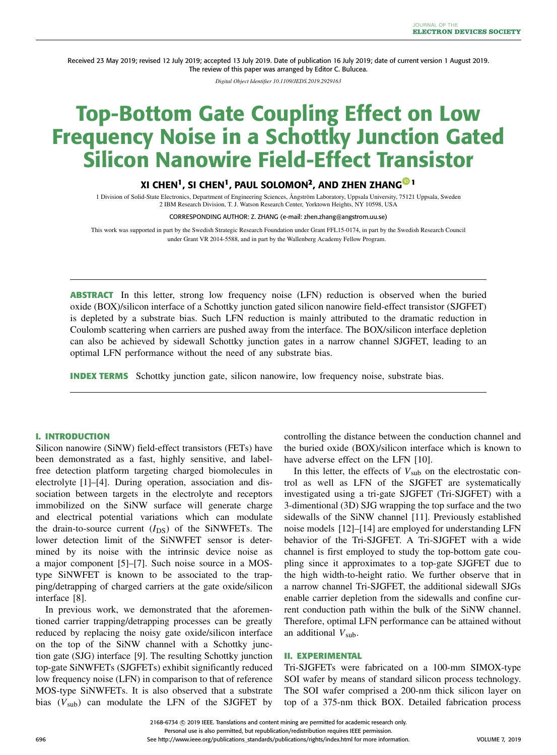Received 23 May 2019; revised 12 July 2019; accepted 13 July 2019. Date of publication 16 July 2019; date of current version 1 August 2019. The review of this paper was arranged by Editor C. Bulucea.

*Digital Object Identifier 10.1109/JEDS.2019.2929163*

# **Top-Bottom Gate Coupling Effect on Low Frequency Noise in a Schottky Junction Gated Silicon Nanowire Field-Effect Transistor**

# **XI CHEN1, SI CHEN1, PAUL SOLOMON2, AND ZHEN ZHANG [1](https://orcid.org/0000-0003-4317-9701)**

1 Division of Solid-State Electronics, Department of Engineering Sciences, Ångström Laboratory, Uppsala University, 75121 Uppsala, Sweden 2 IBM Research Division, T. J. Watson Research Center, Yorktown Heights, NY 10598, USA

CORRESPONDING AUTHOR: Z. ZHANG (e-mail: zhen.zhang@angstrom.uu.se)

This work was supported in part by the Swedish Strategic Research Foundation under Grant FFL15-0174, in part by the Swedish Research Council under Grant VR 2014-5588, and in part by the Wallenberg Academy Fellow Program.

**ABSTRACT** In this letter, strong low frequency noise (LFN) reduction is observed when the buried oxide (BOX)/silicon interface of a Schottky junction gated silicon nanowire field-effect transistor (SJGFET) is depleted by a substrate bias. Such LFN reduction is mainly attributed to the dramatic reduction in Coulomb scattering when carriers are pushed away from the interface. The BOX/silicon interface depletion can also be achieved by sidewall Schottky junction gates in a narrow channel SJGFET, leading to an optimal LFN performance without the need of any substrate bias.

**INDEX TERMS** Schottky junction gate, silicon nanowire, low frequency noise, substrate bias.

### **I. INTRODUCTION**

Silicon nanowire (SiNW) field-effect transistors (FETs) have been demonstrated as a fast, highly sensitive, and labelfree detection platform targeting charged biomolecules in electrolyte [\[1\]](#page-4-0)–[\[4\]](#page-4-1). During operation, association and dissociation between targets in the electrolyte and receptors immobilized on the SiNW surface will generate charge and electrical potential variations which can modulate the drain-to-source current  $(I_{DS})$  of the SiNWFETs. The lower detection limit of the SiNWFET sensor is determined by its noise with the intrinsic device noise as a major component [\[5\]](#page-4-2)–[\[7\]](#page-4-3). Such noise source in a MOStype SiNWFET is known to be associated to the trapping/detrapping of charged carriers at the gate oxide/silicon interface [\[8\]](#page-4-4).

In previous work, we demonstrated that the aforementioned carrier trapping/detrapping processes can be greatly reduced by replacing the noisy gate oxide/silicon interface on the top of the SiNW channel with a Schottky junction gate (SJG) interface [\[9\]](#page-4-5). The resulting Schottky junction top-gate SiNWFETs (SJGFETs) exhibit significantly reduced low frequency noise (LFN) in comparison to that of reference MOS-type SiNWFETs. It is also observed that a substrate bias  $(V_{sub})$  can modulate the LFN of the SJGFET by controlling the distance between the conduction channel and the buried oxide (BOX)/silicon interface which is known to have adverse effect on the LFN [\[10\]](#page-4-6).

In this letter, the effects of  $V_{sub}$  on the electrostatic control as well as LFN of the SJGFET are systematically investigated using a tri-gate SJGFET (Tri-SJGFET) with a 3-dimentional (3D) SJG wrapping the top surface and the two sidewalls of the SiNW channel [\[11\]](#page-4-7). Previously established noise models [\[12\]](#page-4-8)–[\[14\]](#page-4-9) are employed for understanding LFN behavior of the Tri-SJGFET. A Tri-SJGFET with a wide channel is first employed to study the top-bottom gate coupling since it approximates to a top-gate SJGFET due to the high width-to-height ratio. We further observe that in a narrow channel Tri-SJGFET, the additional sidewall SJGs enable carrier depletion from the sidewalls and confine current conduction path within the bulk of the SiNW channel. Therefore, optimal LFN performance can be attained without an additional *V*sub.

#### **II. EXPERIMENTAL**

Tri-SJGFETs were fabricated on a 100-mm SIMOX-type SOI wafer by means of standard silicon process technology. The SOI wafer comprised a 200-nm thick silicon layer on top of a 375-nm thick BOX. Detailed fabrication process

2168-6734  $\odot$  2019 IEEE. Translations and content mining are permitted for academic research only. Personal use is also permitted, but republication/redistribution requires IEEE permission.

696 See http://www.ieee.org/publications\_standards/publications/rights/index.html for more information. VOLUME 7, 2019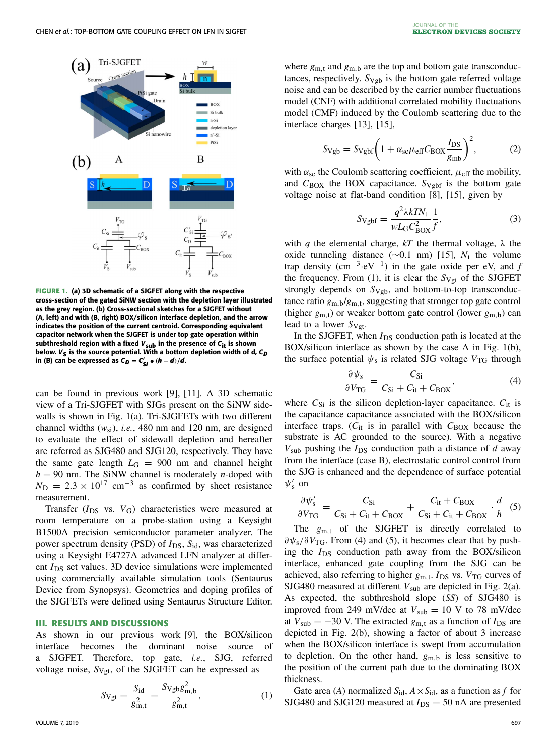

<span id="page-1-0"></span>**FIGURE 1. (a) 3D schematic of a SJGFET along with the respective cross-section of the gated SiNW section with the depletion layer illustrated as the grey region. (b) Cross-sectional sketches for a SJGFET without (A, left) and with (B, right) BOX/silicon interface depletion, and the arrow indicates the position of the current centroid. Corresponding equivalent capacitor network when the SJGFET is under top gate operation within subthreshold region with a fixed** *V***sub in the presence of** *C***it is shown** below.  $V_{\mathsf{S}}$  is the source potential. With a bottom depletion width of d,  $C_{D}$  $\mathbf{a} \cdot \mathbf{b} = \mathbf{b} \cdot \mathbf{c}$  ( $\mathbf{b} \cdot \mathbf{c} = \mathbf{b} \cdot \mathbf{c}$  ( $\mathbf{b} \cdot \mathbf{b} = \mathbf{d} \cdot \mathbf{c}$ ) (*x*)

can be found in previous work [\[9\]](#page-4-5), [\[11\]](#page-4-7). A 3D schematic view of a Tri-SJGFET with SJGs present on the SiNW side-walls is shown in Fig. [1\(](#page-1-0)a). Tri-SJGFETs with two different channel widths  $(w_{si})$ , *i.e.*, 480 nm and 120 nm, are designed to evaluate the effect of sidewall depletion and hereafter are referred as SJG480 and SJG120, respectively. They have the same gate length  $L_G = 900$  nm and channel height  $h = 90$  nm. The SiNW channel is moderately *n*-doped with  $N_{\rm D} = 2.3 \times 10^{17}$  cm<sup>-3</sup> as confirmed by sheet resistance measurement.

Transfer (*I*<sub>DS</sub> vs. *V*<sub>G</sub>) characteristics were measured at room temperature on a probe-station using a Keysight B1500A precision semiconductor parameter analyzer. The power spectrum density (PSD) of  $I_{DS}$ ,  $S_{id}$ , was characterized using a Keysight E4727A advanced LFN analyzer at different *I*<sub>DS</sub> set values. 3D device simulations were implemented using commercially available simulation tools (Sentaurus Device from Synopsys). Geometries and doping profiles of the SJGFETs were defined using Sentaurus Structure Editor.

#### **III. RESULTS AND DISCUSSIONS**

As shown in our previous work [\[9\]](#page-4-5), the BOX/silicon interface becomes the dominant noise source of a SJGFET. Therefore, top gate, *i.e.*, SJG, referred voltage noise,  $S_{Vgt}$ , of the SJGFET can be expressed as

<span id="page-1-1"></span>
$$
S_{\text{Vgt}} = \frac{S_{\text{id}}}{g_{\text{m,t}}^2} = \frac{S_{\text{Vgb}} g_{\text{m,b}}^2}{g_{\text{m,t}}^2},\tag{1}
$$

where  $g_{m,t}$  and  $g_{m,b}$  are the top and bottom gate transconductances, respectively.  $S_{Vgb}$  is the bottom gate referred voltage noise and can be described by the carrier number fluctuations model (CNF) with additional correlated mobility fluctuations model (CMF) induced by the Coulomb scattering due to the interface charges [\[13\]](#page-4-10), [\[15\]](#page-4-11),

<span id="page-1-4"></span>
$$
S_{\rm Vgb} = S_{\rm Vgbf} \bigg( 1 + \alpha_{\rm sc} \mu_{\rm eff} C_{\rm BOX} \frac{I_{\rm DS}}{g_{\rm mb}} \bigg)^2, \tag{2}
$$

with  $\alpha_{\rm sc}$  the Coulomb scattering coefficient,  $\mu_{\rm eff}$  the mobility, and  $C_{\rm BOX}$  the BOX capacitance.  $S_{\rm Vgbf}$  is the bottom gate voltage noise at flat-band condition [\[8\]](#page-4-4), [\[15\]](#page-4-11), given by

<span id="page-1-5"></span>
$$
S_{\text{Vgbf}} = \frac{q^2 \lambda k T N_{\text{t}}}{w L_{\text{G}} C_{\text{BOX}}^2} \frac{1}{f},\tag{3}
$$

with *q* the elemental charge,  $kT$  the thermal voltage,  $\lambda$  the oxide tunneling distance ( $\sim$ 0.1 nm) [\[15\]](#page-4-11),  $N_t$  the volume trap density  $(cm^{-3} \cdot eV^{-1})$  in the gate oxide per eV, and *f* the frequency. From  $(1)$ , it is clear the  $S_{Vgt}$  of the SJGFET strongly depends on  $S_{Vgb}$ , and bottom-to-top transconductance ratio  $g_{m,b}/g_{m,t}$ , suggesting that stronger top gate control (higher  $g_{m,t}$ ) or weaker bottom gate control (lower  $g_{m,b}$ ) can lead to a lower  $S_{Vgt}$ .

In the SJGFET, when  $I_{DS}$  conduction path is located at the BOX/silicon interface as shown by the case A in Fig. [1\(](#page-1-0)b), the surface potential  $\psi_s$  is related SJG voltage  $V_{TG}$  through

<span id="page-1-2"></span>
$$
\frac{\partial \psi_s}{\partial V_{TG}} = \frac{C_{Si}}{C_{Si} + C_{it} + C_{BOX}},\tag{4}
$$

where  $C_{Si}$  is the silicon depletion-layer capacitance.  $C_{it}$  is the capacitance capacitance associated with the BOX/silicon interface traps.  $(C_{it}$  is in parallel with  $C_{\rm BOX}$  because the substrate is AC grounded to the source). With a negative  $V_{sub}$  pushing the  $I_{DS}$  conduction path a distance of  $d$  away from the interface (case B), electrostatic control control from the SJG is enhanced and the dependence of surface potential  $\psi'_{s}$  on

<span id="page-1-3"></span>
$$
\frac{\partial \psi_s'}{\partial V_{\rm TG}} = \frac{C_{\rm Si}}{C_{\rm Si} + C_{\rm it} + C_{\rm BOX}} + \frac{C_{\rm it} + C_{\rm BOX}}{C_{\rm Si} + C_{\rm it} + C_{\rm BOX}} \cdot \frac{d}{h} \quad (5)
$$

The  $g_{m,t}$  of the SJGFET is directly correlated to  $\partial \psi_s / \partial V_{\text{TG}}$ . From [\(4\)](#page-1-2) and [\(5\)](#page-1-3), it becomes clear that by pushing the *I*DS conduction path away from the BOX/silicon interface, enhanced gate coupling from the SJG can be achieved, also referring to higher  $g_{m,t}$ .  $I_{DS}$  vs.  $V_{TG}$  curves of SJG480 measured at different  $V_{sub}$  are depicted in Fig. [2\(](#page-2-0)a). As expected, the subthreshold slope (*SS*) of SJG480 is improved from 249 mV/dec at  $V_{sub} = 10$  V to 78 mV/dec at  $V_{sub} = -30$  V. The extracted  $g_{m,t}$  as a function of  $I_{DS}$  are depicted in Fig. [2\(](#page-2-0)b), showing a factor of about 3 increase when the BOX/silicon interface is swept from accumulation to depletion. On the other hand, *g*m,<sup>b</sup> is less sensitive to the position of the current path due to the dominating BOX thickness.

Gate area (*A*) normalized  $S_{id}$ ,  $A \times S_{id}$ , as a function as *f* for SJG480 and SJG120 measured at  $I_{DS} = 50$  nA are presented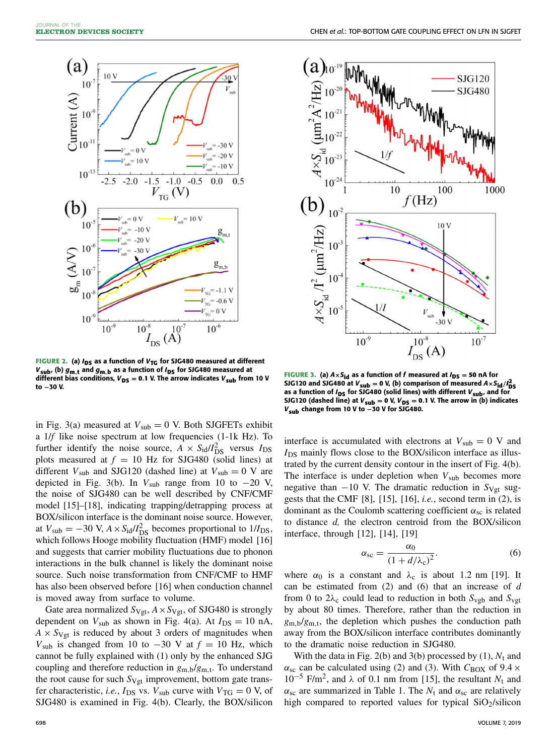

<span id="page-2-0"></span>**FIGURE 2.** (a)  $I_{DS}$  as a function of  $V_{TG}$  for SJG480 measured at different *V***sub, (b)** *g***m***,***<sup>t</sup> and** *g***m***,***<sup>b</sup> as a function of** *I***DS for SJG480 measured at different bias conditions,**  $V_{DS} = 0.1$  **V. The arrow indicates**  $V_{sub}$  **from 10 V to −30 V.**

in Fig. [3\(](#page-2-1)a) measured at  $V_{sub} = 0$  V. Both SJGFETs exhibit a 1/*f* like noise spectrum at low frequencies (1-1k Hz). To further identify the noise source,  $A \times S_{\text{id}}/I_{\text{DS}}^2$  versus  $I_{\text{DS}}$ plots measured at  $f = 10$  Hz for SJG480 (solid lines) at different  $V_{sub}$  and SJG120 (dashed line) at  $V_{sub} = 0$  V are depicted in Fig. [3\(](#page-2-1)b). In  $V_{sub}$  range from 10 to  $-20$  V, the noise of SJG480 can be well described by CNF/CMF model [\[15\]](#page-4-11)–[\[18\]](#page-4-12), indicating trapping/detrapping process at BOX/silicon interface is the dominant noise source. However, at  $V_{\text{sub}} = -30 \text{ V}$ ,  $A \times S_{\text{id}}/I_{\text{DS}}^2$  becomes proportional to  $1/I_{\text{DS}}$ , which follows Hooge mobility fluctuation (HMF) model [\[16\]](#page-4-13) and suggests that carrier mobility fluctuations due to phonon interactions in the bulk channel is likely the dominant noise source. Such noise transformation from CNF/CMF to HMF has also been observed before [\[16\]](#page-4-13) when conduction channel is moved away from surface to volume.

Gate area normalized  $S_{Vgt}$ ,  $A \times S_{Vgt}$ , of SJG480 is strongly dependent on  $V_{sub}$  as shown in Fig. [4\(](#page-3-0)a). At  $I_{DS} = 10$  nA,  $A \times S_{Vgt}$  is reduced by about 3 orders of magnitudes when  $V<sub>sub</sub>$  is changed from 10 to  $-30$  V at  $f = 10$  Hz, which cannot be fully explained with [\(1\)](#page-1-1) only by the enhanced SJG coupling and therefore reduction in  $g_{m,b}/g_{m,t}$ . To understand the root cause for such  $S_{Vgt}$  improvement, bottom gate transfer characteristic, *i.e.*,  $I_{DS}$  vs.  $V_{sub}$  curve with  $V_{TG} = 0$  V, of SJG480 is examined in Fig. [4\(](#page-3-0)b). Clearly, the BOX/silicon



<span id="page-2-1"></span>**FIGURE 3.** (a)  $A \times S_{id}$  as a function of f measured at  $I_{DS} = 50$  nA for SJG120 and SJG480 at  $V_{sub} = 0$  V, (b) comparison of measured  $A \times S_{id}/I_{DS}^2$ as a function of *I*<sub>DS</sub> for SJG480 (solid lines) with different  $V_{sub}$ , and for **SJG120** (dashed line) at  $V_{sub} = 0$  V,  $V_{DS} = 0.1$  V. The arrow in (b) indicates *V***sub change from 10 V to −30 V for SJG480.**

interface is accumulated with electrons at  $V_{sub} = 0$  V and  $I_{DS}$  mainly flows close to the BOX/silicon interface as illustrated by the current density contour in the insert of Fig. [4\(](#page-3-0)b). The interface is under depletion when  $V_{sub}$  becomes more negative than  $-10$  V. The dramatic reduction in  $S_{Vgt}$  suggests that the CMF [\[8\]](#page-4-4), [\[15\]](#page-4-11), [\[16\]](#page-4-13), *i.e.*, second term in [\(2\)](#page-1-4), is dominant as the Coulomb scattering coefficient  $\alpha_{sc}$  is related to distance *d,* the electron centroid from the BOX/silicon interface, through [\[12\]](#page-4-8), [\[14\]](#page-4-9), [\[19\]](#page-4-14)

<span id="page-2-2"></span>
$$
\alpha_{\rm sc} = \frac{\alpha_0}{\left(1 + d/\lambda_{\rm c}\right)^2}.\tag{6}
$$

where  $\alpha_0$  is a constant and  $\lambda_c$  is about 1.2 nm [\[19\]](#page-4-14). It can be estimated from [\(2\)](#page-1-4) and [\(6\)](#page-2-2) that an increase of *d* from 0 to  $2\lambda_c$  could lead to reduction in both  $S_{\text{vgb}}$  and  $S_{\text{vgt}}$ by about 80 times. Therefore, rather than the reduction in *g*m,b/*g*m,t, the depletion which pushes the conduction path away from the BOX/silicon interface contributes dominantly to the dramatic noise reduction in SJG480.

With the data in Fig. [2\(](#page-2-0)b) and [3\(](#page-2-1)b) processed by  $(1)$ ,  $N_t$  and  $\alpha_{\rm sc}$  can be calculated using [\(2\)](#page-1-4) and [\(3\)](#page-1-5). With  $C_{\rm BOX}$  of 9.4  $\times$ 10<sup>-5</sup> F/m<sup>2</sup>, and  $\lambda$  of 0.1 nm from [\[15\]](#page-4-11), the resultant  $N_t$  and  $\alpha_{\rm sc}$  are summarized in Table [1.](#page-3-1) The  $N_t$  and  $\alpha_{\rm sc}$  are relatively high compared to reported values for typical SiO2/silicon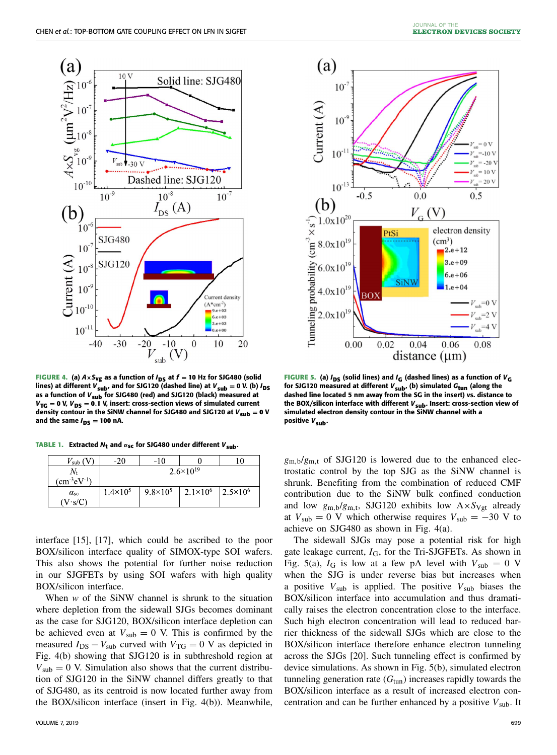

<span id="page-3-0"></span>**FIGURE 4.** (a)  $A \times S_{vg}$  as a function of  $I_{DS}$  at  $f = 10$  Hz for SJG480 (solid lines) at different  $V_{sub}$ , and for SJG120 (dashed line) at  $V_{sub} = 0$  V. (b)  $I_{DS}$ **as a function of** *V***sub for SJG480 (red) and SJG120 (black) measured at**  $V_{TG} = 0$  V,  $V_{DS} = 0.1$  V, insert: cross-section views of simulated current **density contour in the SiNW channel for SJG480 and SJG120 at**  $V_{sub} = 0$  **V** and the same  $I_{DS} = 100$  nA.

**TABLE 1.** Extracted  $N_t$  and  $\alpha_{\text{sc}}$  for SJG480 under different  $V_{\text{sub}}$ .

<span id="page-3-1"></span>

| $V_{\rm sub}$ (       | -20                  | -10               |                   |                   |
|-----------------------|----------------------|-------------------|-------------------|-------------------|
|                       | $2.6 \times 10^{19}$ |                   |                   |                   |
| $\rm (cm\ ^3 eV\ ^1)$ |                      |                   |                   |                   |
| $\alpha_{\rm sc}$     | $1.4 \times 10^{5}$  | $9.8 \times 10^5$ | $2.1 \times 10^6$ | $2.5 \times 10^6$ |
| $\cdot$ s/C           |                      |                   |                   |                   |

interface [\[15\]](#page-4-11), [\[17\]](#page-4-15), which could be ascribed to the poor BOX/silicon interface quality of SIMOX-type SOI wafers. This also shows the potential for further noise reduction in our SJGFETs by using SOI wafers with high quality BOX/silicon interface.

When *w* of the SiNW channel is shrunk to the situation where depletion from the sidewall SJGs becomes dominant as the case for SJG120, BOX/silicon interface depletion can be achieved even at  $V_{sub} = 0$  V. This is confirmed by the measured  $I_{DS} - V_{sub}$  curved with  $V_{TG} = 0$  V as depicted in Fig. [4\(](#page-3-0)b) showing that SJG120 is in subthreshold region at  $V_{sub} = 0$  V. Simulation also shows that the current distribution of SJG120 in the SiNW channel differs greatly to that of SJG480, as its centroid is now located further away from the BOX/silicon interface (insert in Fig. [4\(](#page-3-0)b)). Meanwhile,



<span id="page-3-2"></span>**FIGURE 5.** (a)  $I_{DS}$  (solid lines) and  $I_G$  (dashed lines) as a function of  $V_G$ **for SJG120 measured at different** *V***sub, (b) simulated** *G***tun (along the dashed line located 5 nm away from the SG in the insert) vs. distance to the BOX/silicon interface with different** *V***sub. Insert: cross-section view of simulated electron density contour in the SiNW channel with a positive** *V***sub.**

 $g_{\text{m},b}/g_{\text{m},t}$  of SJG120 is lowered due to the enhanced electrostatic control by the top SJG as the SiNW channel is shrunk. Benefiting from the combination of reduced CMF contribution due to the SiNW bulk confined conduction and low  $g_{m,b}/g_{m,t}$ , SJG120 exhibits low  $A \times S_{Vgt}$  already at  $V_{sub} = 0$  V which otherwise requires  $V_{sub} = -30$  V to achieve on SJG480 as shown in Fig. [4\(](#page-3-0)a).

The sidewall SJGs may pose a potential risk for high gate leakage current,  $I_G$ , for the Tri-SJGFETs. As shown in Fig. [5\(](#page-3-2)a),  $I_G$  is low at a few pA level with  $V_{sub} = 0$  V when the SJG is under reverse bias but increases when a positive *V*sub is applied. The positive *V*sub biases the BOX/silicon interface into accumulation and thus dramatically raises the electron concentration close to the interface. Such high electron concentration will lead to reduced barrier thickness of the sidewall SJGs which are close to the BOX/silicon interface therefore enhance electron tunneling across the SJGs [\[20\]](#page-4-16). Such tunneling effect is confirmed by device simulations. As shown in Fig. [5\(](#page-3-2)b), simulated electron tunneling generation rate  $(G<sub>tun</sub>)$  increases rapidly towards the BOX/silicon interface as a result of increased electron concentration and can be further enhanced by a positive  $V_{sub}$ . It